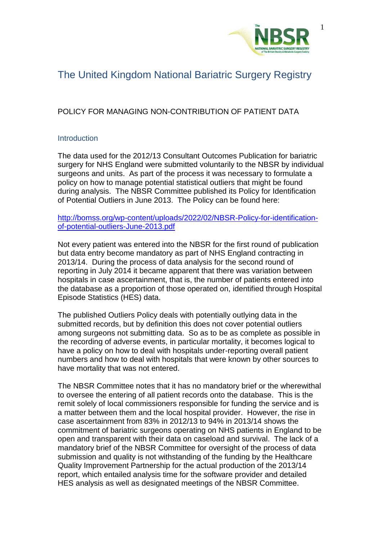

# The United Kingdom National Bariatric Surgery Registry

## POLICY FOR MANAGING NON-CONTRIBUTION OF PATIENT DATA

### **Introduction**

The data used for the 2012/13 Consultant Outcomes Publication for bariatric surgery for NHS England were submitted voluntarily to the NBSR by individual surgeons and units. As part of the process it was necessary to formulate a policy on how to manage potential statistical outliers that might be found during analysis. The NBSR Committee published its Policy for Identification of Potential Outliers in June 2013. The Policy can be found here:

[http://bomss.org/wp-content/uploads/2022/02/NBSR-Policy-for-identification](http://bomss.org/wp-content/uploads/2022/02/NBSR-Policy-for-identification-of-potential-outliers-June-2013.pdf)[of-potential-outliers-June-2013.pdf](http://bomss.org/wp-content/uploads/2022/02/NBSR-Policy-for-identification-of-potential-outliers-June-2013.pdf)

Not every patient was entered into the NBSR for the first round of publication but data entry become mandatory as part of NHS England contracting in 2013/14. During the process of data analysis for the second round of reporting in July 2014 it became apparent that there was variation between hospitals in case ascertainment, that is, the number of patients entered into the database as a proportion of those operated on, identified through Hospital Episode Statistics (HES) data.

The published Outliers Policy deals with potentially outlying data in the submitted records, but by definition this does not cover potential outliers among surgeons not submitting data. So as to be as complete as possible in the recording of adverse events, in particular mortality, it becomes logical to have a policy on how to deal with hospitals under-reporting overall patient numbers and how to deal with hospitals that were known by other sources to have mortality that was not entered.

The NBSR Committee notes that it has no mandatory brief or the wherewithal to oversee the entering of all patient records onto the database. This is the remit solely of local commissioners responsible for funding the service and is a matter between them and the local hospital provider. However, the rise in case ascertainment from 83% in 2012/13 to 94% in 2013/14 shows the commitment of bariatric surgeons operating on NHS patients in England to be open and transparent with their data on caseload and survival. The lack of a mandatory brief of the NBSR Committee for oversight of the process of data submission and quality is not withstanding of the funding by the Healthcare Quality Improvement Partnership for the actual production of the 2013/14 report, which entailed analysis time for the software provider and detailed HES analysis as well as designated meetings of the NBSR Committee.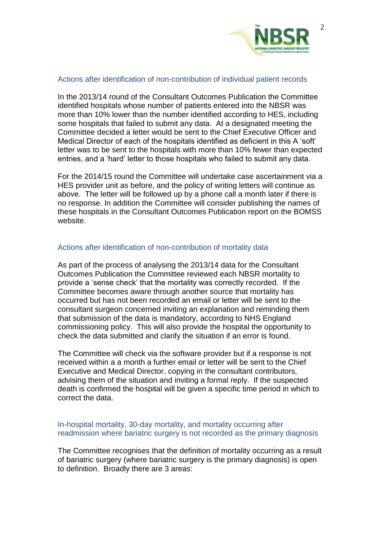

#### Actions after identification of non-contribution of individual patient records

In the 2013/14 round of the Consultant Outcomes Publication the Committee identified hospitals whose number of patients entered into the NBSR was more than 10% lower than the number identified according to HES, including some hospitals that failed to submit any data. At a designated meeting the Committee decided a letter would be sent to the Chief Executive Officer and Medical Director of each of the hospitals identified as deficient in this A 'soft' letter was to be sent to the hospitals with more than 10% fewer than expected entries, and a 'hard' letter to those hospitals who failed to submit any data.

For the 2014/15 round the Committee will undertake case ascertainment via a HES provider unit as before, and the policy of writing letters will continue as above. The letter will be followed up by a phone call a month later if there is no response. In addition the Committee will consider publishing the names of these hospitals in the Consultant Outcomes Publication report on the BOMSS website.

#### Actions after identification of non-contribution of mortality data

As part of the process of analysing the 2013/14 data for the Consultant Outcomes Publication the Committee reviewed each NBSR mortality to provide a 'sense check' that the mortality was correctly recorded. If the Committee becomes aware through another source that mortality has occurred but has not been recorded an email or letter will be sent to the consultant surgeon concerned inviting an explanation and reminding them that submission of the data is mandatory, according to NHS England commissioning policy. This will also provide the hospital the opportunity to check the data submitted and clarify the situation if an error is found.

The Committee will check via the software provider but if a response is not received within a a month a further email or letter will be sent to the Chief Executive and Medical Director, copying in the consultant contributors, advising them of the situation and inviting a formal reply. If the suspected death is confirmed the hospital will be given a specific time period in which to correct the data.

#### In-hospital mortality, 30-day mortality, and mortality occurring after readmission where bariatric surgery is not recorded as the primary diagnosis

The Committee recognises that the definition of mortality occurring as a result of bariatric surgery (where bariatric surgery is the primary diagnosis) is open to definition. Broadly there are 3 areas: